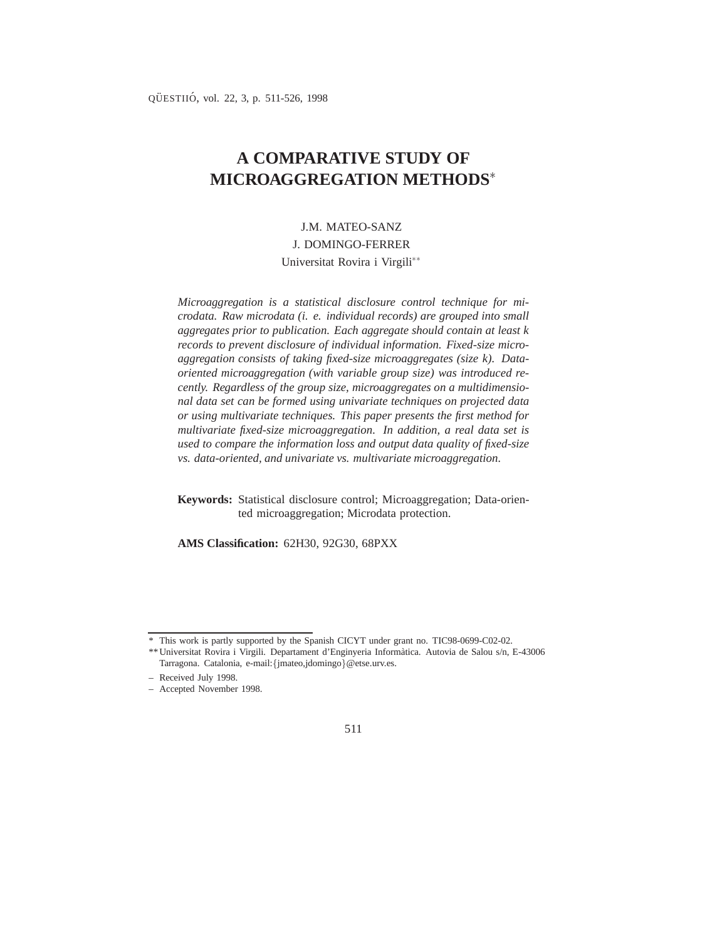# **A COMPARATIVE STUDY OF MICROAGGREGATION METHODS**

# J.M. MATEO-SANZ J. DOMINGO-FERRER Universitat Rovira i Virgili

*Microaggregation is a statistical disclosure control technique for microdata. Raw microdata (i. e. individual records) are grouped into small aggregates prior to publication. Each aggregate should contain at least k records to prevent disclosure of individual information. Fixed-size microaggregation consists of taking fixed-size microaggregates (size k). Dataoriented microaggregation (with variable group size) was introduced recently. Regardless of the group size, microaggregates on a multidimensional data set can be formed using univariate techniques on projected data or using multivariate techniques. This paper presents the first method for multivariate fixed-size microaggregation. In addition, a real data set is used to compare the information loss and output data quality of fixed-size vs. data-oriented, and univariate vs. multivariate microaggregation.*

**Keywords:** Statistical disclosure control; Microaggregation; Data-oriented microaggregation; Microdata protection.

**AMS Classification:** 62H30, 92G30, 68PXX

<sup>\*</sup> This work is partly supported by the Spanish CICYT under grant no. TIC98-0699-C02-02.

<sup>\*\*</sup> Universitat Rovira i Virgili. Departament d'Enginyeria Inform`atica. Autovia de Salou s/n, E-43006 Tarragona. Catalonia, e-mail: {jmateo,jdomingo}@etse.urv.es.

<sup>–</sup> Received July 1998.

<sup>–</sup> Accepted November 1998.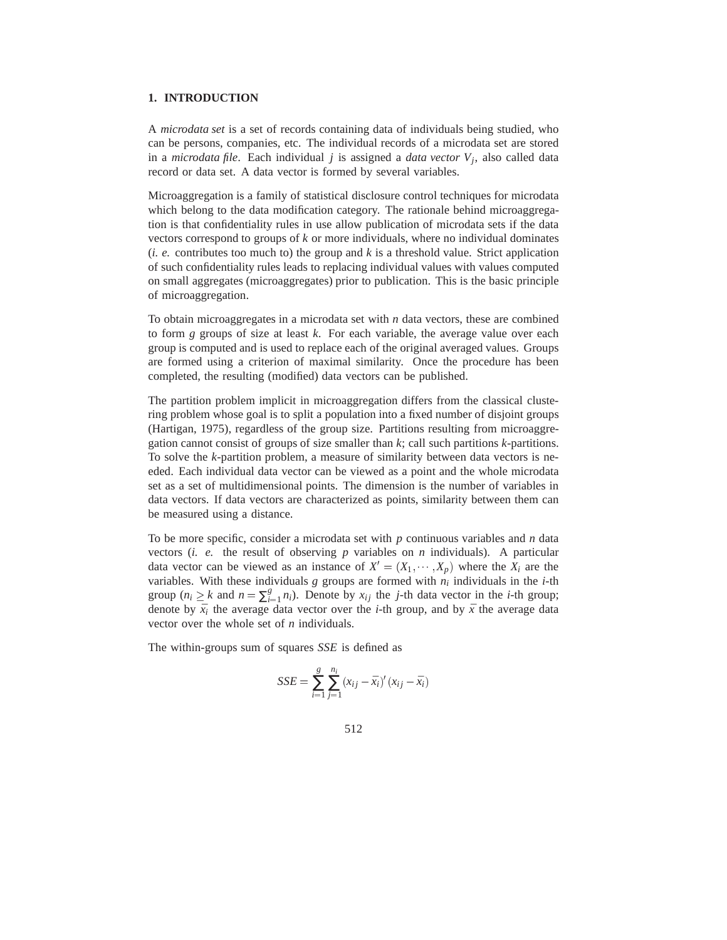# **1. INTRODUCTION**

A *microdata set* is a set of records containing data of individuals being studied, who can be persons, companies, etc. The individual records of a microdata set are stored in a *microdata file*. Each individual *j* is assigned a *data vector V<sup>j</sup>* , also called data record or data set. A data vector is formed by several variables.

Microaggregation is a family of statistical disclosure control techniques for microdata which belong to the data modification category. The rationale behind microaggregation is that confidentiality rules in use allow publication of microdata sets if the data vectors correspond to groups of *k* or more individuals, where no individual dominates  $(i. e.$  contributes too much to) the group and  $k$  is a threshold value. Strict application of such confidentiality rules leads to replacing individual values with values computed on small aggregates (microaggregates) prior to publication. This is the basic principle of microaggregation.

To obtain microaggregates in a microdata set with *n* data vectors, these are combined to form *g* groups of size at least *k*. For each variable, the average value over each group is computed and is used to replace each of the original averaged values. Groups are formed using a criterion of maximal similarity. Once the procedure has been completed, the resulting (modified) data vectors can be published.

The partition problem implicit in microaggregation differs from the classical clustering problem whose goal is to split a population into a fixed number of disjoint groups (Hartigan, 1975), regardless of the group size. Partitions resulting from microaggregation cannot consist of groups of size smaller than *k*; call such partitions *k*-partitions. To solve the *k*-partition problem, a measure of similarity between data vectors is needed. Each individual data vector can be viewed as a point and the whole microdata set as a set of multidimensional points. The dimension is the number of variables in data vectors. If data vectors are characterized as points, similarity between them can be measured using a distance.

To be more specific, consider a microdata set with *p* continuous variables and *n* data vectors (*i. e.* the result of observing *p* variables on *n* individuals). A particular data vector can be viewed as an instance of  $X' = (X_1, \dots, X_p)$  where the  $X_i$  are the variables. With these individuals  $g$  groups are formed with  $n_i$  individuals in the *i*-th group ( $n_i \geq k$  and  $n = \sum_{i=1}^{g}$  $\sum_{i=1}^{g} n_i$ ). Denote by  $x_{ij}$  the *j*-th data vector in the *i*-th group; denote by  $\bar{x}_i$  the average data vector over the *i*-th group, and by  $\bar{x}$  the average data vector over the whole set of *n* individuals.

The within-groups sum of squares *SSE* is defined as

$$
SSE = \sum_{i=1}^{g} \sum_{j=1}^{n_i} (x_{ij} - \bar{x}_i)' (x_{ij} - \bar{x}_i)
$$

512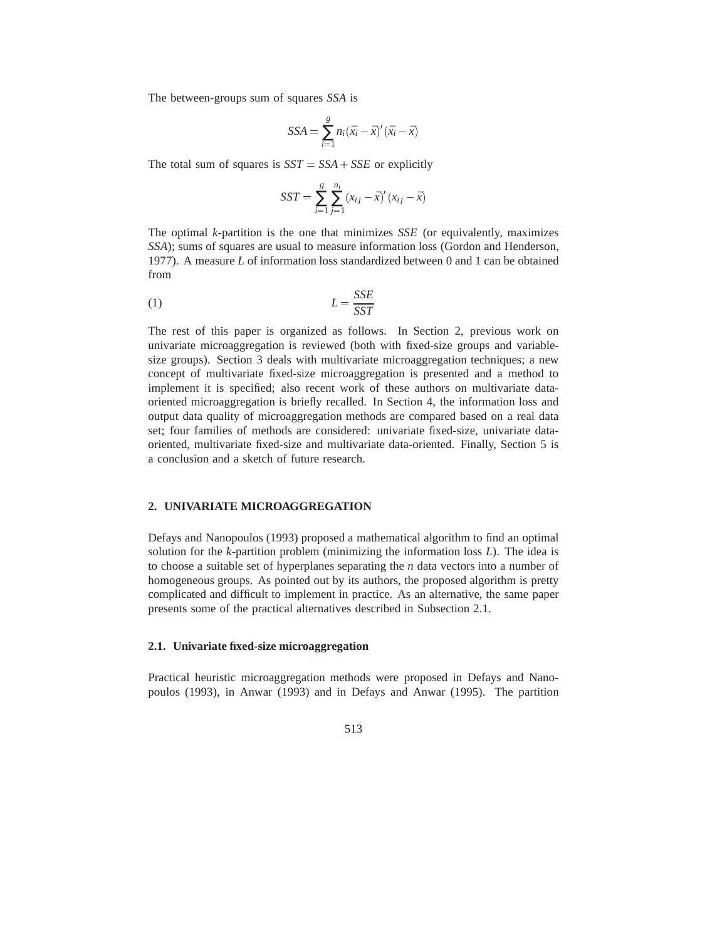The between-groups sum of squares *SSA* is

$$
SSA = \sum_{i=1}^{g} n_i (\bar{x}_i - \bar{x})' (\bar{x}_i - \bar{x})
$$

The total sum of squares is  $SST = SSA + SSE$  or explicitly

$$
SST = \sum_{i=1}^{g} \sum_{j=1}^{n_i} (x_{ij} - \bar{x})'(x_{ij} - \bar{x})
$$

The optimal *k*-partition is the one that minimizes *SSE* (or equivalently, maximizes *SSA*); sums of squares are usual to measure information loss (Gordon and Henderson, 1977). A measure *L* of information loss standardized between 0 and 1 can be obtained from

$$
L = \frac{SSE}{SST}
$$

The rest of this paper is organized as follows. In Section 2, previous work on univariate microaggregation is reviewed (both with fixed-size groups and variablesize groups). Section 3 deals with multivariate microaggregation techniques; a new concept of multivariate fixed-size microaggregation is presented and a method to implement it is specified; also recent work of these authors on multivariate dataoriented microaggregation is briefly recalled. In Section 4, the information loss and output data quality of microaggregation methods are compared based on a real data set; four families of methods are considered: univariate fixed-size, univariate dataoriented, multivariate fixed-size and multivariate data-oriented. Finally, Section 5 is a conclusion and a sketch of future research.

#### **2. UNIVARIATE MICROAGGREGATION**

Defays and Nanopoulos (1993) proposed a mathematical algorithm to find an optimal solution for the *k*-partition problem (minimizing the information loss *L*). The idea is to choose a suitable set of hyperplanes separating the *n* data vectors into a number of homogeneous groups. As pointed out by its authors, the proposed algorithm is pretty complicated and difficult to implement in practice. As an alternative, the same paper presents some of the practical alternatives described in Subsection 2.1.

# **2.1. Univariate fixed-size microaggregation**

Practical heuristic microaggregation methods were proposed in Defays and Nanopoulos (1993), in Anwar (1993) and in Defays and Anwar (1995). The partition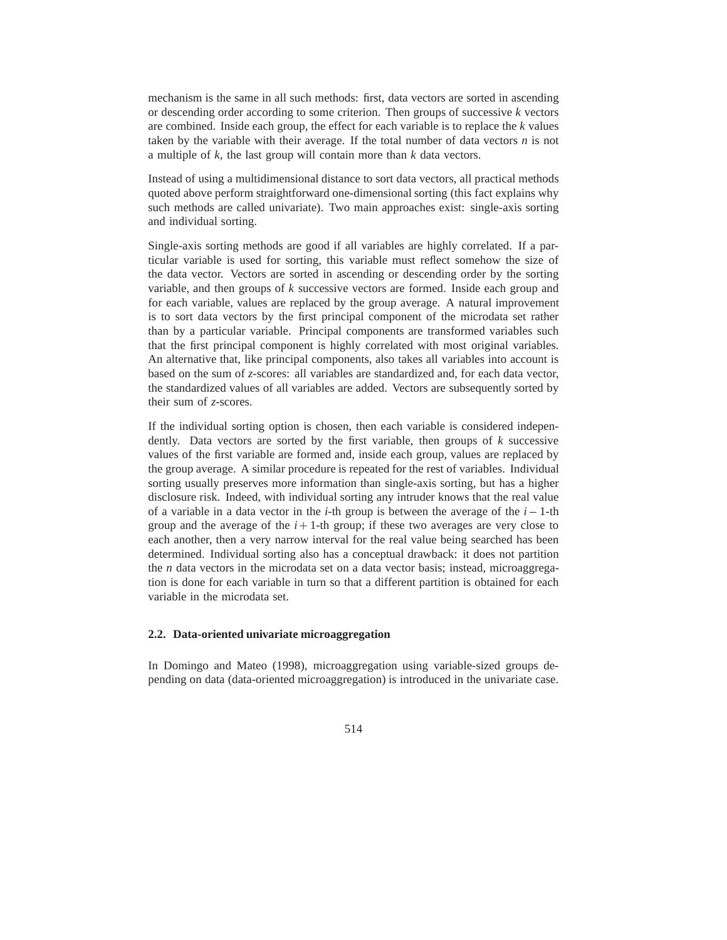mechanism is the same in all such methods: first, data vectors are sorted in ascending or descending order according to some criterion. Then groups of successive *k* vectors are combined. Inside each group, the effect for each variable is to replace the *k* values taken by the variable with their average. If the total number of data vectors *n* is not a multiple of *k*, the last group will contain more than *k* data vectors.

Instead of using a multidimensional distance to sort data vectors, all practical methods quoted above perform straightforward one-dimensional sorting (this fact explains why such methods are called univariate). Two main approaches exist: single-axis sorting and individual sorting.

Single-axis sorting methods are good if all variables are highly correlated. If a particular variable is used for sorting, this variable must reflect somehow the size of the data vector. Vectors are sorted in ascending or descending order by the sorting variable, and then groups of *k* successive vectors are formed. Inside each group and for each variable, values are replaced by the group average. A natural improvement is to sort data vectors by the first principal component of the microdata set rather than by a particular variable. Principal components are transformed variables such that the first principal component is highly correlated with most original variables. An alternative that, like principal components, also takes all variables into account is based on the sum of *z*-scores: all variables are standardized and, for each data vector, the standardized values of all variables are added. Vectors are subsequently sorted by their sum of *z*-scores.

If the individual sorting option is chosen, then each variable is considered independently. Data vectors are sorted by the first variable, then groups of *k* successive values of the first variable are formed and, inside each group, values are replaced by the group average. A similar procedure is repeated for the rest of variables. Individual sorting usually preserves more information than single-axis sorting, but has a higher disclosure risk. Indeed, with individual sorting any intruder knows that the real value of a variable in a data vector in the *i*-th group is between the average of the  $i-1$ -th group and the average of the  $i+1$ -th group; if these two averages are very close to each another, then a very narrow interval for the real value being searched has been determined. Individual sorting also has a conceptual drawback: it does not partition the *n* data vectors in the microdata set on a data vector basis; instead, microaggregation is done for each variable in turn so that a different partition is obtained for each variable in the microdata set.

#### **2.2. Data-oriented univariate microaggregation**

In Domingo and Mateo (1998), microaggregation using variable-sized groups depending on data (data-oriented microaggregation) is introduced in the univariate case.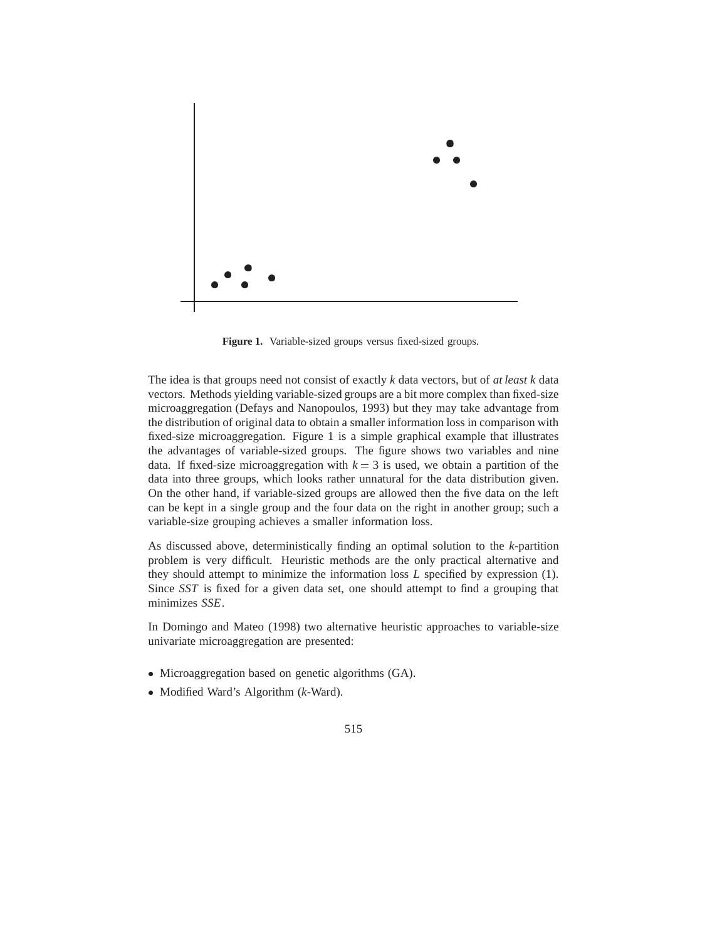

**Figure 1.** Variable-sized groups versus fixed-sized groups.

The idea is that groups need not consist of exactly *k* data vectors, but of *at least k* data vectors. Methods yielding variable-sized groups are a bit more complex than fixed-size microaggregation (Defays and Nanopoulos, 1993) but they may take advantage from the distribution of original data to obtain a smaller information loss in comparison with fixed-size microaggregation. Figure 1 is a simple graphical example that illustrates the advantages of variable-sized groups. The figure shows two variables and nine data. If fixed-size microaggregation with  $k = 3$  is used, we obtain a partition of the data into three groups, which looks rather unnatural for the data distribution given. On the other hand, if variable-sized groups are allowed then the five data on the left can be kept in a single group and the four data on the right in another group; such a variable-size grouping achieves a smaller information loss.

As discussed above, deterministically finding an optimal solution to the *k*-partition problem is very difficult. Heuristic methods are the only practical alternative and they should attempt to minimize the information loss *L* specified by expression (1). Since *SST* is fixed for a given data set, one should attempt to find a grouping that minimizes *SSE*.

In Domingo and Mateo (1998) two alternative heuristic approaches to variable-size univariate microaggregation are presented:

- Microaggregation based on genetic algorithms (GA).
- Modified Ward's Algorithm (*k*-Ward).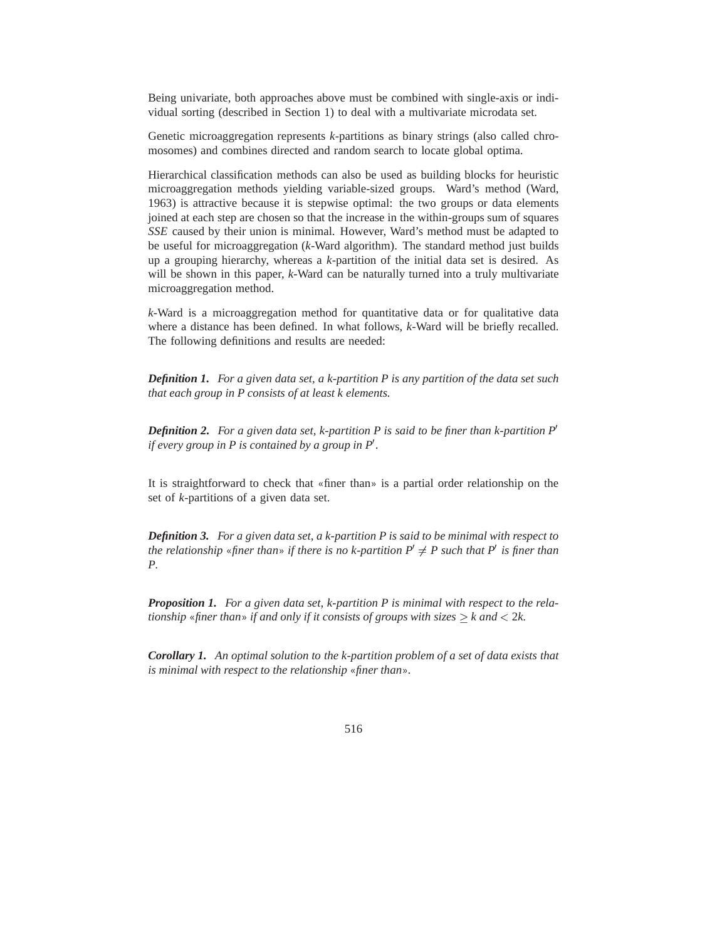Being univariate, both approaches above must be combined with single-axis or individual sorting (described in Section 1) to deal with a multivariate microdata set.

Genetic microaggregation represents *k*-partitions as binary strings (also called chromosomes) and combines directed and random search to locate global optima.

Hierarchical classification methods can also be used as building blocks for heuristic microaggregation methods yielding variable-sized groups. Ward's method (Ward, 1963) is attractive because it is stepwise optimal: the two groups or data elements joined at each step are chosen so that the increase in the within-groups sum of squares *SSE* caused by their union is minimal. However, Ward's method must be adapted to be useful for microaggregation (*k*-Ward algorithm). The standard method just builds up a grouping hierarchy, whereas a *k*-partition of the initial data set is desired. As will be shown in this paper, *k*-Ward can be naturally turned into a truly multivariate microaggregation method.

*k*-Ward is a microaggregation method for quantitative data or for qualitative data where a distance has been defined. In what follows, *k*-Ward will be briefly recalled. The following definitions and results are needed:

*Definition 1. For a given data set, a k-partition P is any partition of the data set such that each group in P consists of at least k elements.*

*Definition 2.* For a given data set, k-partition P is said to be finer than k-partition  $P'$ *if every group in P is contained by a group in P'.* 

It is straightforward to check that «finer than» is a partial order relationship on the set of *k*-partitions of a given data set.

*Definition 3. For a given data set, a k-partition P is said to be minimal with respect to the relationship* «*finer than*» *if there is no k-partition*  $P' \neq P$  *such that*  $P'$  *is finer than P.*

*Proposition 1. For a given data set, k-partition P is minimal with respect to the relationship* «*finer than*» *if and only if it consists of groups with sizes k and* <sup>&</sup>lt; 2*k.*

*Corollary 1. An optimal solution to the k-partition problem of a set of data exists that is minimal with respect to the relationship* «*finer than*»*.*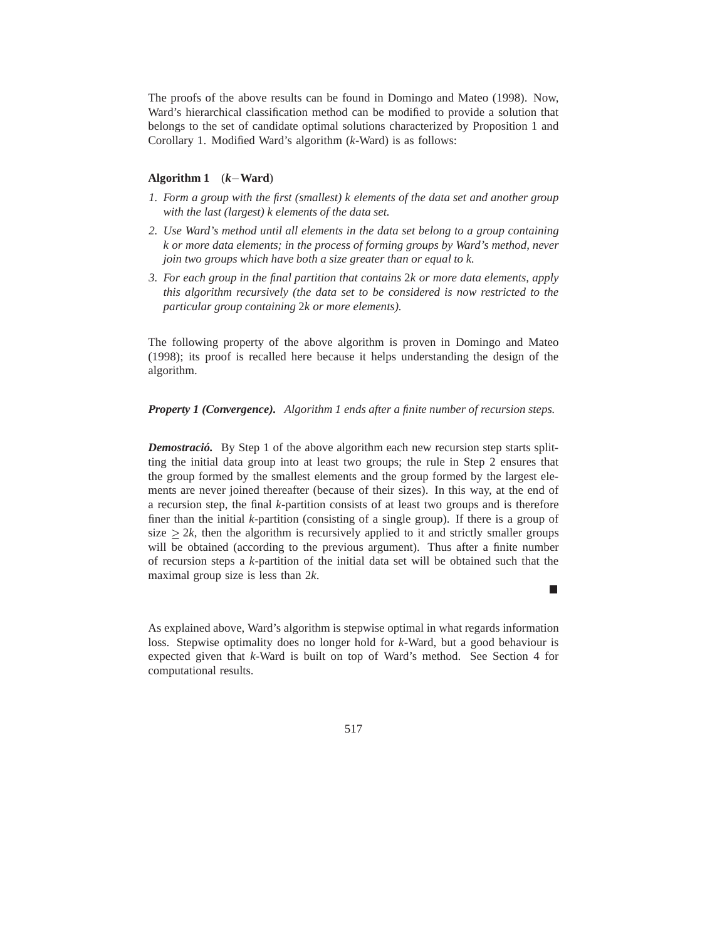The proofs of the above results can be found in Domingo and Mateo (1998). Now, Ward's hierarchical classification method can be modified to provide a solution that belongs to the set of candidate optimal solutions characterized by Proposition 1 and Corollary 1. Modified Ward's algorithm (*k*-Ward) is as follows:

#### **Algorithm 1**  $(k-\text{Ward})$

- *1. Form a group with the first (smallest) k elements of the data set and another group with the last (largest) k elements of the data set.*
- *2. Use Ward's method until all elements in the data set belong to a group containing k or more data elements; in the process of forming groups by Ward's method, never join two groups which have both a size greater than or equal to k.*
- *3. For each group in the final partition that contains* 2*k or more data elements, apply this algorithm recursively (the data set to be considered is now restricted to the particular group containing* 2*k or more elements).*

The following property of the above algorithm is proven in Domingo and Mateo (1998); its proof is recalled here because it helps understanding the design of the algorithm.

*Property 1 (Convergence). Algorithm 1 ends after a finite number of recursion steps.*

*Demostració.* By Step 1 of the above algorithm each new recursion step starts splitting the initial data group into at least two groups; the rule in Step 2 ensures that the group formed by the smallest elements and the group formed by the largest elements are never joined thereafter (because of their sizes). In this way, at the end of a recursion step, the final *k*-partition consists of at least two groups and is therefore finer than the initial *k*-partition (consisting of a single group). If there is a group of size  $> 2k$ , then the algorithm is recursively applied to it and strictly smaller groups will be obtained (according to the previous argument). Thus after a finite number of recursion steps a *k*-partition of the initial data set will be obtained such that the maximal group size is less than 2*k*.

As explained above, Ward's algorithm is stepwise optimal in what regards information loss. Stepwise optimality does no longer hold for *k*-Ward, but a good behaviour is expected given that *k*-Ward is built on top of Ward's method. See Section 4 for computational results.

517

П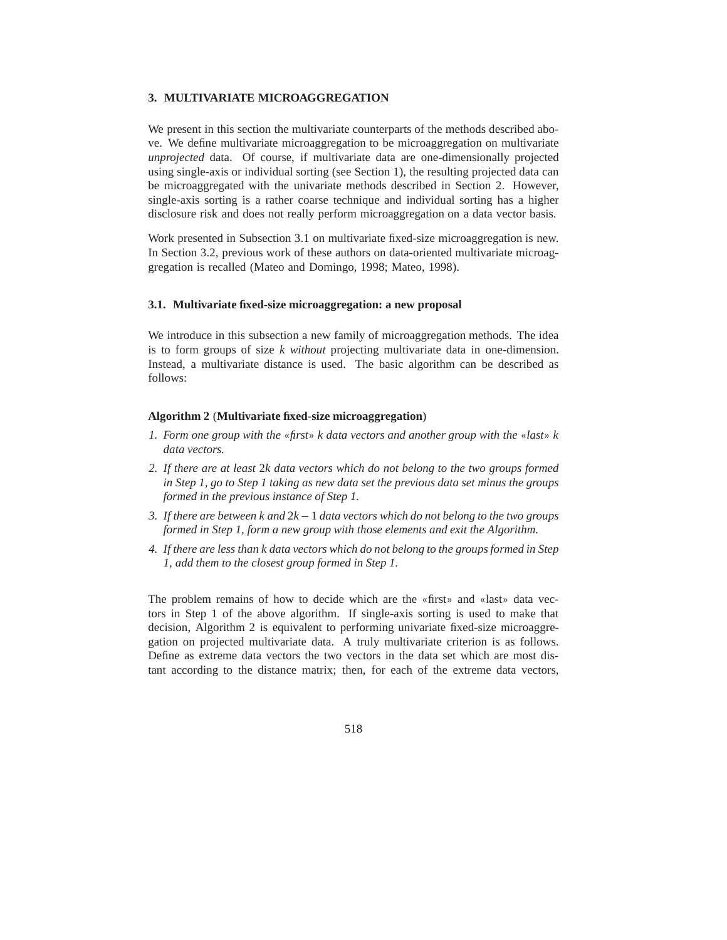#### **3. MULTIVARIATE MICROAGGREGATION**

We present in this section the multivariate counterparts of the methods described above. We define multivariate microaggregation to be microaggregation on multivariate *unprojected* data. Of course, if multivariate data are one-dimensionally projected using single-axis or individual sorting (see Section 1), the resulting projected data can be microaggregated with the univariate methods described in Section 2. However, single-axis sorting is a rather coarse technique and individual sorting has a higher disclosure risk and does not really perform microaggregation on a data vector basis.

Work presented in Subsection 3.1 on multivariate fixed-size microaggregation is new. In Section 3.2, previous work of these authors on data-oriented multivariate microaggregation is recalled (Mateo and Domingo, 1998; Mateo, 1998).

#### **3.1. Multivariate fixed-size microaggregation: a new proposal**

We introduce in this subsection a new family of microaggregation methods. The idea is to form groups of size *k without* projecting multivariate data in one-dimension. Instead, a multivariate distance is used. The basic algorithm can be described as follows:

#### **Algorithm 2** (**Multivariate fixed-size microaggregation**)

- *1. Form one group with the* «*first*» *k data vectors and another group with the* «*last*» *k data vectors.*
- *2. If there are at least* 2*k data vectors which do not belong to the two groups formed in Step 1, go to Step 1 taking as new data set the previous data set minus the groups formed in the previous instance of Step 1.*
- *3. If there are between k and*  $2k 1$  *data vectors which do not belong to the two groups formed in Step 1, form a new group with those elements and exit the Algorithm.*
- *4. If there are less than k data vectors which do not belong to the groups formed in Step 1, add them to the closest group formed in Step 1.*

The problem remains of how to decide which are the «first» and «last» data vectors in Step 1 of the above algorithm. If single-axis sorting is used to make that decision, Algorithm 2 is equivalent to performing univariate fixed-size microaggregation on projected multivariate data. A truly multivariate criterion is as follows. Define as extreme data vectors the two vectors in the data set which are most distant according to the distance matrix; then, for each of the extreme data vectors,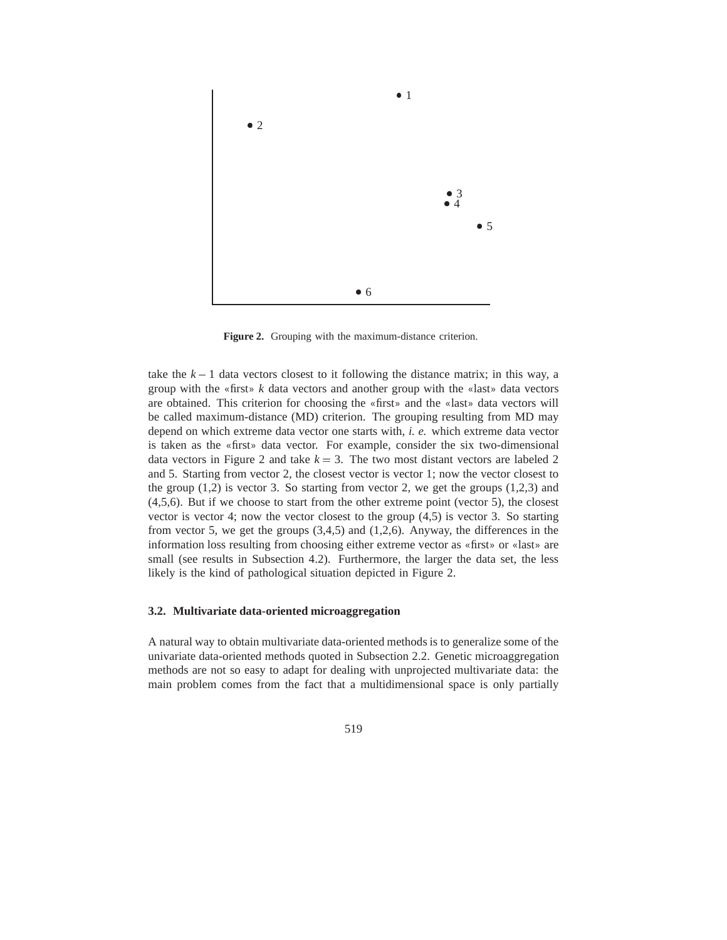

**Figure 2.** Grouping with the maximum-distance criterion.

take the  $k - 1$  data vectors closest to it following the distance matrix; in this way, a group with the «first» *k* data vectors and another group with the «last» data vectors are obtained. This criterion for choosing the «first» and the «last» data vectors will be called maximum-distance (MD) criterion. The grouping resulting from MD may depend on which extreme data vector one starts with, *i. e.* which extreme data vector is taken as the «first» data vector. For example, consider the six two-dimensional data vectors in Figure 2 and take  $k = 3$ . The two most distant vectors are labeled 2 and 5. Starting from vector 2, the closest vector is vector 1; now the vector closest to the group  $(1,2)$  is vector 3. So starting from vector 2, we get the groups  $(1,2,3)$  and (4,5,6). But if we choose to start from the other extreme point (vector 5), the closest vector is vector 4; now the vector closest to the group (4,5) is vector 3. So starting from vector 5, we get the groups (3,4,5) and (1,2,6). Anyway, the differences in the information loss resulting from choosing either extreme vector as «first» or «last» are small (see results in Subsection 4.2). Furthermore, the larger the data set, the less likely is the kind of pathological situation depicted in Figure 2.

#### **3.2. Multivariate data-oriented microaggregation**

A natural way to obtain multivariate data-oriented methods is to generalize some of the univariate data-oriented methods quoted in Subsection 2.2. Genetic microaggregation methods are not so easy to adapt for dealing with unprojected multivariate data: the main problem comes from the fact that a multidimensional space is only partially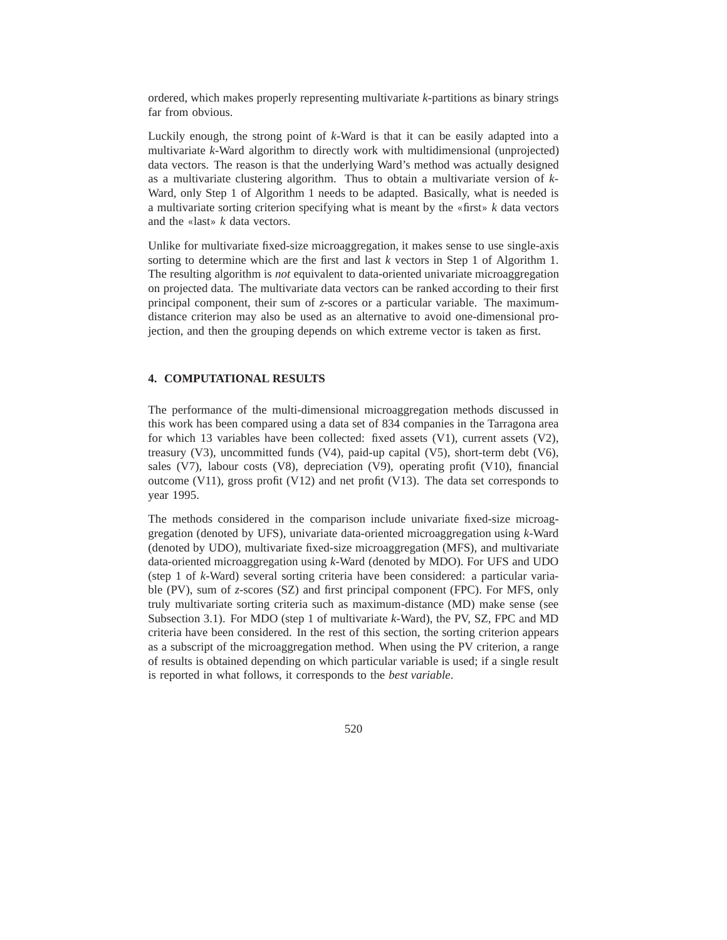ordered, which makes properly representing multivariate *k*-partitions as binary strings far from obvious.

Luckily enough, the strong point of *k*-Ward is that it can be easily adapted into a multivariate *k*-Ward algorithm to directly work with multidimensional (unprojected) data vectors. The reason is that the underlying Ward's method was actually designed as a multivariate clustering algorithm. Thus to obtain a multivariate version of *k*-Ward, only Step 1 of Algorithm 1 needs to be adapted. Basically, what is needed is a multivariate sorting criterion specifying what is meant by the «first» *k* data vectors and the «last» *k* data vectors.

Unlike for multivariate fixed-size microaggregation, it makes sense to use single-axis sorting to determine which are the first and last *k* vectors in Step 1 of Algorithm 1. The resulting algorithm is *not* equivalent to data-oriented univariate microaggregation on projected data. The multivariate data vectors can be ranked according to their first principal component, their sum of *z*-scores or a particular variable. The maximumdistance criterion may also be used as an alternative to avoid one-dimensional projection, and then the grouping depends on which extreme vector is taken as first.

# **4. COMPUTATIONAL RESULTS**

The performance of the multi-dimensional microaggregation methods discussed in this work has been compared using a data set of 834 companies in the Tarragona area for which 13 variables have been collected: fixed assets  $(V1)$ , current assets  $(V2)$ , treasury (V3), uncommitted funds (V4), paid-up capital (V5), short-term debt (V6), sales (V7), labour costs (V8), depreciation (V9), operating profit (V10), financial outcome (V11), gross profit (V12) and net profit (V13). The data set corresponds to year 1995.

The methods considered in the comparison include univariate fixed-size microaggregation (denoted by UFS), univariate data-oriented microaggregation using *k*-Ward (denoted by UDO), multivariate fixed-size microaggregation (MFS), and multivariate data-oriented microaggregation using *k*-Ward (denoted by MDO). For UFS and UDO (step 1 of *k*-Ward) several sorting criteria have been considered: a particular variable (PV), sum of *z*-scores (SZ) and first principal component (FPC). For MFS, only truly multivariate sorting criteria such as maximum-distance (MD) make sense (see Subsection 3.1). For MDO (step 1 of multivariate *k*-Ward), the PV, SZ, FPC and MD criteria have been considered. In the rest of this section, the sorting criterion appears as a subscript of the microaggregation method. When using the PV criterion, a range of results is obtained depending on which particular variable is used; if a single result is reported in what follows, it corresponds to the *best variable*.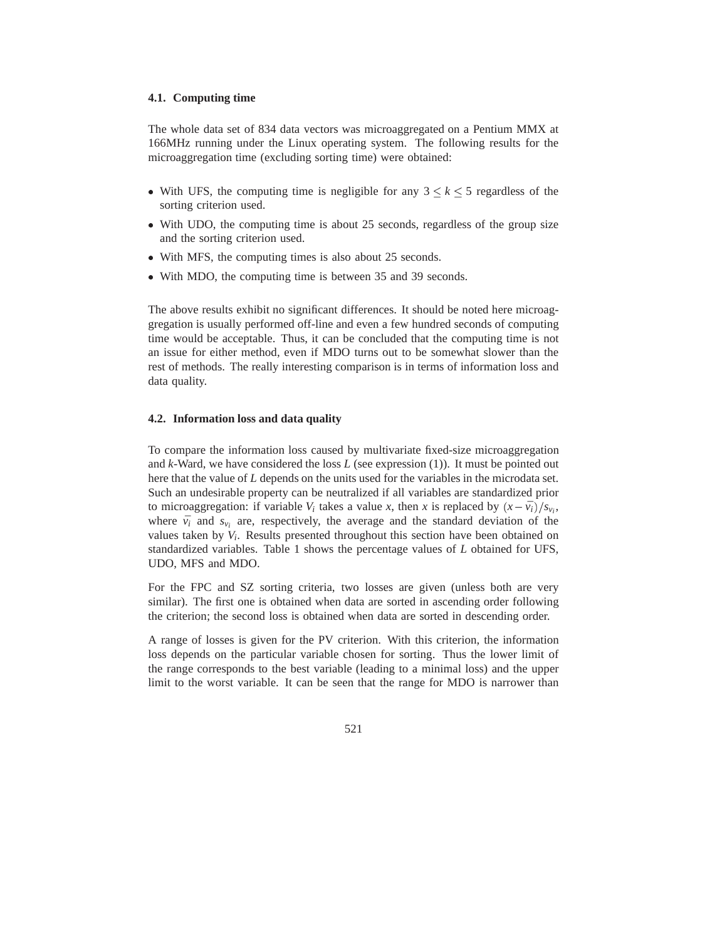#### **4.1. Computing time**

The whole data set of 834 data vectors was microaggregated on a Pentium MMX at 166MHz running under the Linux operating system. The following results for the microaggregation time (excluding sorting time) were obtained:

- With UFS, the computing time is negligible for any  $3 \leq k \leq 5$  regardless of the sorting criterion used.
- With UDO, the computing time is about 25 seconds, regardless of the group size and the sorting criterion used.
- With MFS, the computing times is also about 25 seconds.
- With MDO, the computing time is between 35 and 39 seconds.

The above results exhibit no significant differences. It should be noted here microaggregation is usually performed off-line and even a few hundred seconds of computing time would be acceptable. Thus, it can be concluded that the computing time is not an issue for either method, even if MDO turns out to be somewhat slower than the rest of methods. The really interesting comparison is in terms of information loss and data quality.

#### **4.2. Information loss and data quality**

To compare the information loss caused by multivariate fixed-size microaggregation and *k*-Ward, we have considered the loss *L* (see expression (1)). It must be pointed out here that the value of *L* depends on the units used for the variables in the microdata set. Such an undesirable property can be neutralized if all variables are standardized prior to microaggregation: if variable  $V_i$  takes a value *x*, then *x* is replaced by  $(x - \bar{v}_i)/s_{v_i}$ , where  $\bar{v}_i$  and  $s_{v_i}$  are, respectively, the average and the standard deviation of the values taken by *V<sup>i</sup>* . Results presented throughout this section have been obtained on standardized variables. Table 1 shows the percentage values of *L* obtained for UFS, UDO, MFS and MDO.

For the FPC and SZ sorting criteria, two losses are given (unless both are very similar). The first one is obtained when data are sorted in ascending order following the criterion; the second loss is obtained when data are sorted in descending order.

A range of losses is given for the PV criterion. With this criterion, the information loss depends on the particular variable chosen for sorting. Thus the lower limit of the range corresponds to the best variable (leading to a minimal loss) and the upper limit to the worst variable. It can be seen that the range for MDO is narrower than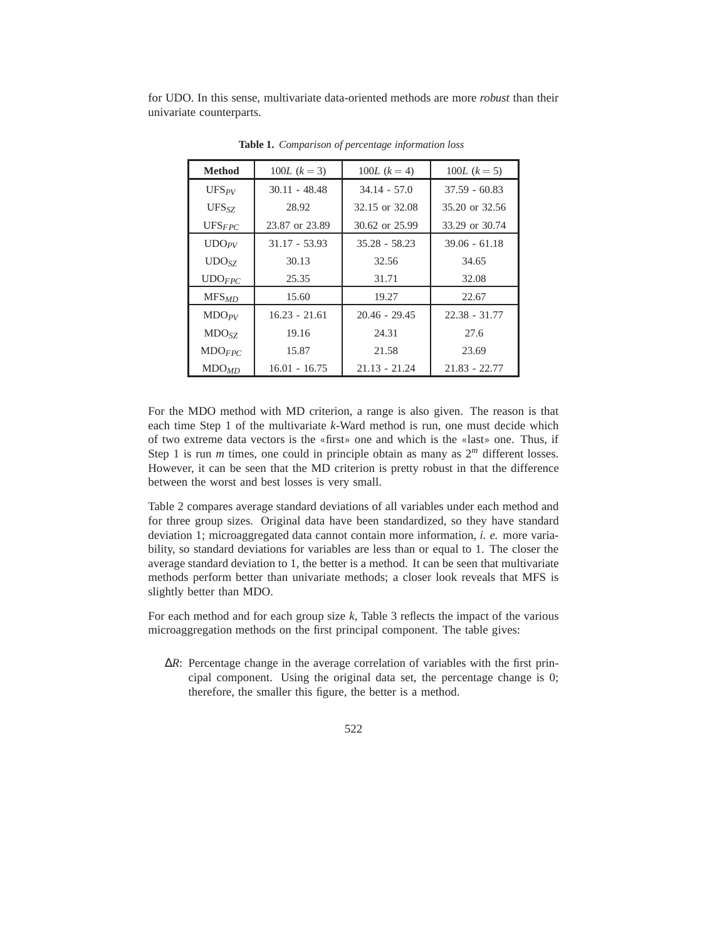for UDO. In this sense, multivariate data-oriented methods are more *robust* than their univariate counterparts.

| <b>Method</b>           | 100L $(k = 3)$  | 100L $(k = 4)$  | $100L (k = 5)$  |
|-------------------------|-----------------|-----------------|-----------------|
| $UFS_{PV}$              | $30.11 - 48.48$ | $34.14 - 57.0$  | $37.59 - 60.83$ |
| $UFS_{SZ}$              | 28.92           | 32.15 or 32.08  | 35.20 or 32.56  |
| $UFS_{FPC}$             | 23.87 or 23.89  | 30.62 or 25.99  | 33.29 or 30.74  |
| $\text{UDO}_{PV}$       | $31.17 - 53.93$ | $35.28 - 58.23$ | $39.06 - 61.18$ |
| UDO <sub>SZ</sub>       | 30.13           | 32.56           | 34.65           |
| $\text{UDO}$ <i>FPC</i> | 25.35           | 31.71           | 32.08           |
| MFS <sub>MD</sub>       | 15.60           | 19.27           | 22.67           |
| $MDO_{PV}$              | $16.23 - 21.61$ | $20.46 - 29.45$ | $22.38 - 31.77$ |
| MDO <sub>SZ</sub>       | 19.16           | 24.31           | 27.6            |
| $MDO_{FPC}$             | 15.87           | 21.58           | 23.69           |
| MDO <sub>MD</sub>       | $16.01 - 16.75$ | $21.13 - 21.24$ | $21.83 - 22.77$ |

**Table 1.** *Comparison of percentage information loss*

For the MDO method with MD criterion, a range is also given. The reason is that each time Step 1 of the multivariate *k*-Ward method is run, one must decide which of two extreme data vectors is the «first» one and which is the «last» one. Thus, if Step 1 is run  $m$  times, one could in principle obtain as many as  $2^m$  different losses. However, it can be seen that the MD criterion is pretty robust in that the difference between the worst and best losses is very small.

Table 2 compares average standard deviations of all variables under each method and for three group sizes. Original data have been standardized, so they have standard deviation 1; microaggregated data cannot contain more information, *i. e.* more variability, so standard deviations for variables are less than or equal to 1. The closer the average standard deviation to 1, the better is a method. It can be seen that multivariate methods perform better than univariate methods; a closer look reveals that MFS is slightly better than MDO.

For each method and for each group size *k*, Table 3 reflects the impact of the various microaggregation methods on the first principal component. The table gives:

∆*R*: Percentage change in the average correlation of variables with the first principal component. Using the original data set, the percentage change is 0; therefore, the smaller this figure, the better is a method.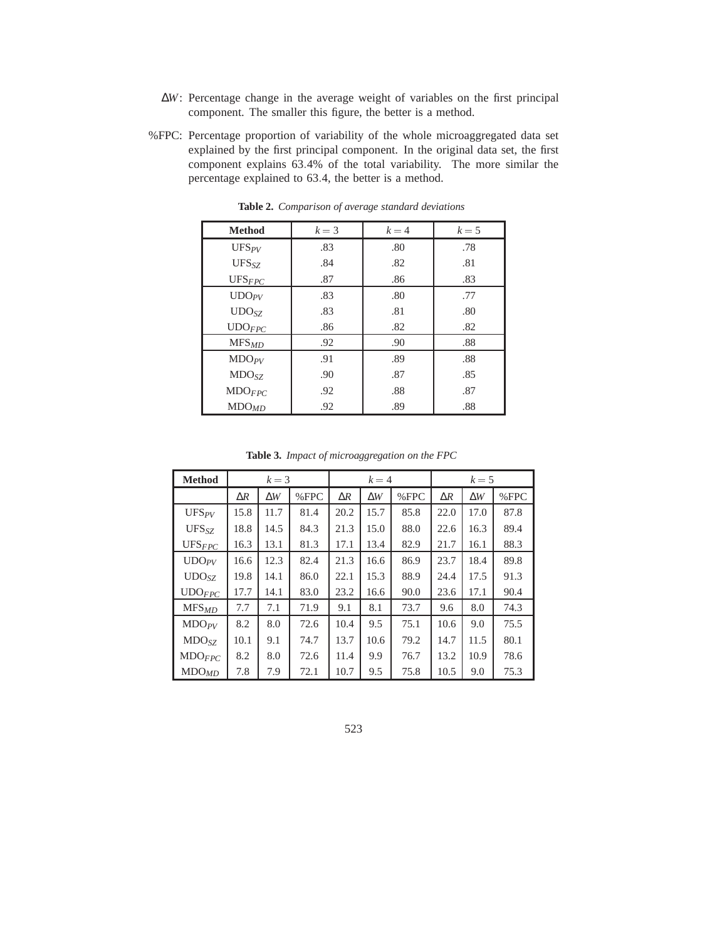- ∆*W*: Percentage change in the average weight of variables on the first principal component. The smaller this figure, the better is a method.
- %FPC: Percentage proportion of variability of the whole microaggregated data set explained by the first principal component. In the original data set, the first component explains 63:4% of the total variability. The more similar the percentage explained to 63:4, the better is a method.

| <b>Method</b>      | $k=3$ | $k=4$ | $k=5$ |
|--------------------|-------|-------|-------|
| $UFS_{PV}$         | .83   | .80   | .78   |
| $UFS_{SZ}$         | .84   | .82   | .81   |
| $UFS_{FPC}$        | .87   | .86   | .83   |
| $\text{UDO}_{PV}$  | .83   | .80   | .77   |
| UDO <sub>SZ</sub>  | .83   | .81   | .80   |
| $\text{UDO}_{FPC}$ | .86   | .82   | .82   |
| MFS <sub>MD</sub>  | .92   | .90   | .88   |
| MDO <sub>PV</sub>  | .91   | .89   | .88   |
| MDO <sub>SZ</sub>  | .90   | .87   | .85   |
| $MDO_{FPC}$        | .92   | .88   | .87   |
| MDO <sub>MD</sub>  | .92   | .89   | .88   |

**Table 2.** *Comparison of average standard deviations*

**Table 3.** *Impact of microaggregation on the FPC*

| <b>Method</b>      | $k=3$      |            |         | $k=4$      |            | $k=5$   |            |            |         |
|--------------------|------------|------------|---------|------------|------------|---------|------------|------------|---------|
|                    | $\Delta R$ | $\Delta W$ | $%$ FPC | $\Delta R$ | $\Delta W$ | $%$ FPC | $\Delta R$ | $\Delta W$ | $%$ FPC |
| $UFS_{PV}$         | 15.8       | 11.7       | 81.4    | 20.2       | 15.7       | 85.8    | 22.0       | 17.0       | 87.8    |
| $UFS_{SZ}$         | 18.8       | 14.5       | 84.3    | 21.3       | 15.0       | 88.0    | 22.6       | 16.3       | 89.4    |
| $UFS_{FPC}$        | 16.3       | 13.1       | 81.3    | 17.1       | 13.4       | 82.9    | 21.7       | 16.1       | 88.3    |
| $\text{UDO}_{PV}$  | 16.6       | 12.3       | 82.4    | 21.3       | 16.6       | 86.9    | 23.7       | 18.4       | 89.8    |
| UDO <sub>SZ</sub>  | 19.8       | 14.1       | 86.0    | 22.1       | 15.3       | 88.9    | 24.4       | 17.5       | 91.3    |
| $\text{UDO}_{FPC}$ | 17.7       | 14.1       | 83.0    | 23.2       | 16.6       | 90.0    | 23.6       | 17.1       | 90.4    |
| $MFS_{MD}$         | 7.7        | 7.1        | 71.9    | 9.1        | 8.1        | 73.7    | 9.6        | 8.0        | 74.3    |
| $MDO_{PV}$         | 8.2        | 8.0        | 72.6    | 10.4       | 9.5        | 75.1    | 10.6       | 9.0        | 75.5    |
| MDO <sub>SZ</sub>  | 10.1       | 9.1        | 74.7    | 13.7       | 10.6       | 79.2    | 14.7       | 11.5       | 80.1    |
| MDO <sub>FPC</sub> | 8.2        | 8.0        | 72.6    | 11.4       | 9.9        | 76.7    | 13.2       | 10.9       | 78.6    |
| MDO <sub>MD</sub>  | 7.8        | 7.9        | 72.1    | 10.7       | 9.5        | 75.8    | 10.5       | 9.0        | 75.3    |

523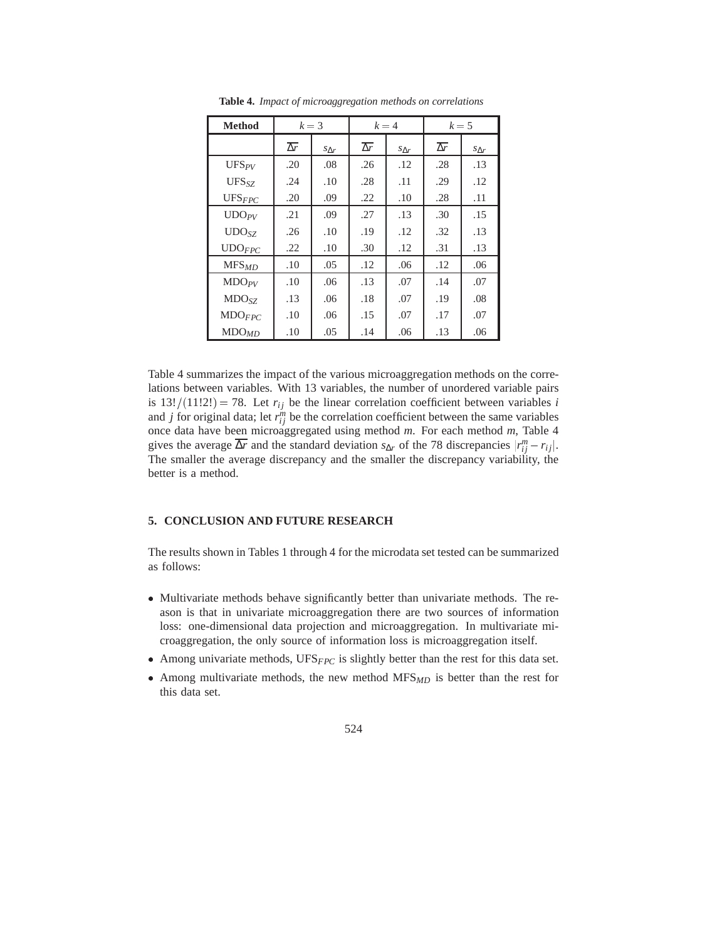| <b>Method</b>      | $k=3$                 |                 | $k=4$                 |                 | $k=5$                 |                |
|--------------------|-----------------------|-----------------|-----------------------|-----------------|-----------------------|----------------|
|                    | $\overline{\Delta r}$ | $S_{\Lambda r}$ | $\overline{\Delta r}$ | $S_{\Lambda r}$ | $\overline{\Delta r}$ | $S_{\Delta r}$ |
| $UFS_{PV}$         | .20                   | .08             | .26                   | .12             | .28                   | .13            |
| $UFS_{SZ}$         | .24                   | .10             | .28                   | .11             | .29                   | .12            |
| $UFS_{FPC}$        | .20                   | .09             | .22                   | .10             | .28                   | .11            |
| UDO <sub>PV</sub>  | .21                   | .09             | .27                   | .13             | .30                   | .15            |
| UDO <sub>SZ</sub>  | .26                   | .10             | .19                   | .12             | .32                   | .13            |
| $\text{UDO}_{FPC}$ | .22                   | .10             | .30                   | .12             | .31                   | .13            |
| MFS <sub>MD</sub>  | .10                   | .05             | .12                   | .06             | .12                   | .06            |
| MDO <sub>PV</sub>  | .10                   | .06             | .13                   | .07             | .14                   | .07            |
| MDO <sub>SZ</sub>  | .13                   | .06             | .18                   | .07             | .19                   | .08            |
| MDO <sub>FPC</sub> | .10                   | .06             | .15                   | .07             | .17                   | .07            |
| MDO <sub>MD</sub>  | .10                   | .05             | .14                   | .06             | .13                   | .06            |

**Table 4.** *Impact of microaggregation methods on correlations*

Table 4 summarizes the impact of the various microaggregation methods on the correlations between variables. With 13 variables, the number of unordered variable pairs is  $13!/(11!2!) = 78$ . Let  $r_{ij}$  be the linear correlation coefficient between variables *i* and *j* for original data; let  $r_{ij}^m$  be the correlation coefficient between the same variables once data have been microaggregated using method *m*. For each method *m*, Table 4 gives the average  $\overline{\Delta r}$  and the standard deviation *s*<sub>∆</sub>*r* of the 78 discrepancies  $|r_{ij}^m - r_{ij}|$ . The smaller the average discrepancy and the smaller the discrepancy variability, the better is a method.

#### **5. CONCLUSION AND FUTURE RESEARCH**

The results shown in Tables 1 through 4 for the microdata set tested can be summarized as follows:

- Multivariate methods behave significantly better than univariate methods. The reason is that in univariate microaggregation there are two sources of information loss: one-dimensional data projection and microaggregation. In multivariate microaggregation, the only source of information loss is microaggregation itself.
- Among univariate methods, UFS*FPC* is slightly better than the rest for this data set.
- Among multivariate methods, the new method MFS*MD* is better than the rest for this data set.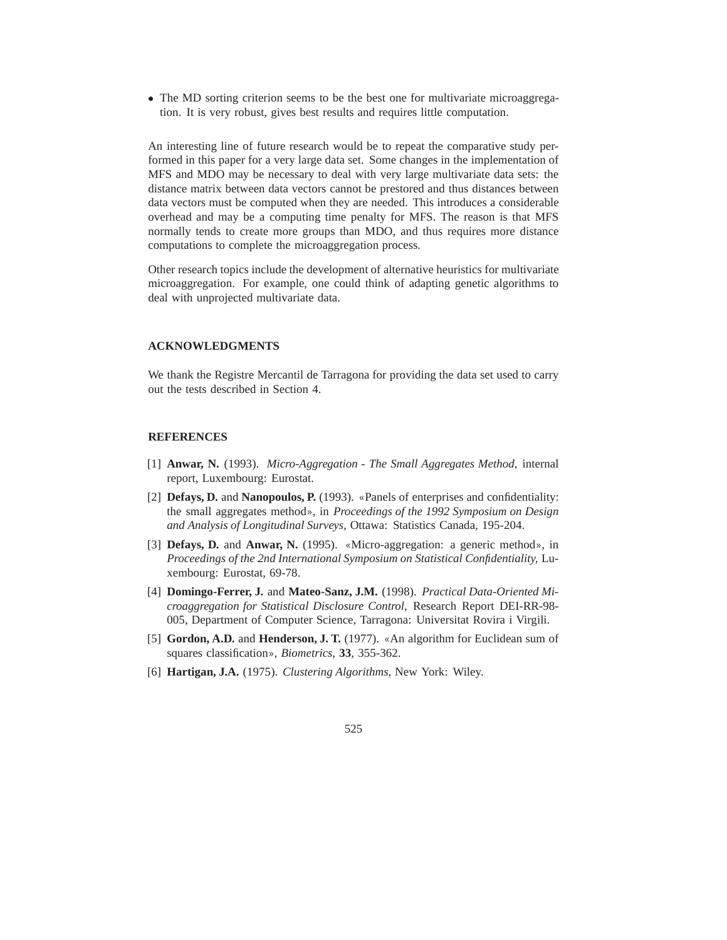• The MD sorting criterion seems to be the best one for multivariate microaggregation. It is very robust, gives best results and requires little computation.

An interesting line of future research would be to repeat the comparative study performed in this paper for a very large data set. Some changes in the implementation of MFS and MDO may be necessary to deal with very large multivariate data sets: the distance matrix between data vectors cannot be prestored and thus distances between data vectors must be computed when they are needed. This introduces a considerable overhead and may be a computing time penalty for MFS. The reason is that MFS normally tends to create more groups than MDO, and thus requires more distance computations to complete the microaggregation process.

Other research topics include the development of alternative heuristics for multivariate microaggregation. For example, one could think of adapting genetic algorithms to deal with unprojected multivariate data.

# **ACKNOWLEDGMENTS**

We thank the Registre Mercantil de Tarragona for providing the data set used to carry out the tests described in Section 4.

#### **REFERENCES**

- [1] **Anwar, N.** (1993). *Micro-Aggregation The Small Aggregates Method,* internal report, Luxembourg: Eurostat.
- [2] **Defays, D.** and **Nanopoulos, P.** (1993). «Panels of enterprises and confidentiality: the small aggregates method», in *Proceedings of the 1992 Symposium on Design and Analysis of Longitudinal Surveys,* Ottawa: Statistics Canada, 195-204.
- [3] **Defays, D.** and **Anwar, N.** (1995). «Micro-aggregation: a generic method», in *Proceedings of the 2nd International Symposium on Statistical Confidentiality,* Luxembourg: Eurostat, 69-78.
- [4] **Domingo-Ferrer, J.** and **Mateo-Sanz, J.M.** (1998). *Practical Data-Oriented Microaggregation for Statistical Disclosure Control,* Research Report DEI-RR-98- 005, Department of Computer Science, Tarragona: Universitat Rovira i Virgili.
- [5] **Gordon, A.D.** and **Henderson, J. T.** (1977). «An algorithm for Euclidean sum of squares classification», *Biometrics,* **33**, 355-362.
- [6] **Hartigan, J.A.** (1975). *Clustering Algorithms,* New York: Wiley.